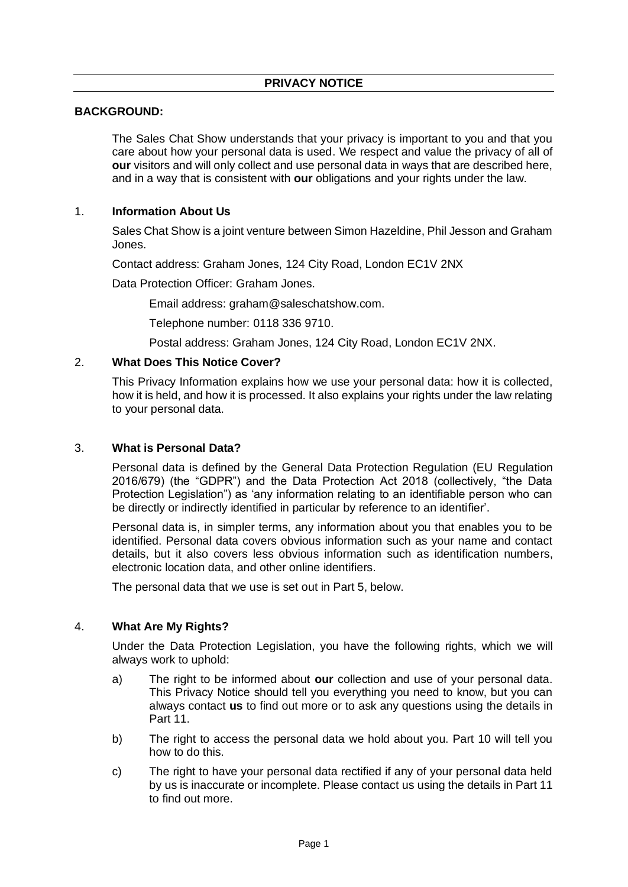# **BACKGROUND:**

The Sales Chat Show understands that your privacy is important to you and that you care about how your personal data is used. We respect and value the privacy of all of **our** visitors and will only collect and use personal data in ways that are described here, and in a way that is consistent with **our** obligations and your rights under the law.

# 1. **Information About Us**

Sales Chat Show is a joint venture between Simon Hazeldine, Phil Jesson and Graham Jones.

Contact address: Graham Jones, 124 City Road, London EC1V 2NX

Data Protection Officer: Graham Jones.

Email address: graham@saleschatshow.com.

Telephone number: 0118 336 9710.

Postal address: Graham Jones, 124 City Road, London EC1V 2NX.

#### 2. **What Does This Notice Cover?**

This Privacy Information explains how we use your personal data: how it is collected, how it is held, and how it is processed. It also explains your rights under the law relating to your personal data.

#### 3. **What is Personal Data?**

Personal data is defined by the General Data Protection Regulation (EU Regulation 2016/679) (the "GDPR") and the Data Protection Act 2018 (collectively, "the Data Protection Legislation") as 'any information relating to an identifiable person who can be directly or indirectly identified in particular by reference to an identifier'.

Personal data is, in simpler terms, any information about you that enables you to be identified. Personal data covers obvious information such as your name and contact details, but it also covers less obvious information such as identification numbers, electronic location data, and other online identifiers.

The personal data that we use is set out in Part 5, below.

# 4. **What Are My Rights?**

Under the Data Protection Legislation, you have the following rights, which we will always work to uphold:

- a) The right to be informed about **our** collection and use of your personal data. This Privacy Notice should tell you everything you need to know, but you can always contact **us** to find out more or to ask any questions using the details in Part 11.
- b) The right to access the personal data we hold about you. Part 10 will tell you how to do this.
- c) The right to have your personal data rectified if any of your personal data held by us is inaccurate or incomplete. Please contact us using the details in Part 11 to find out more.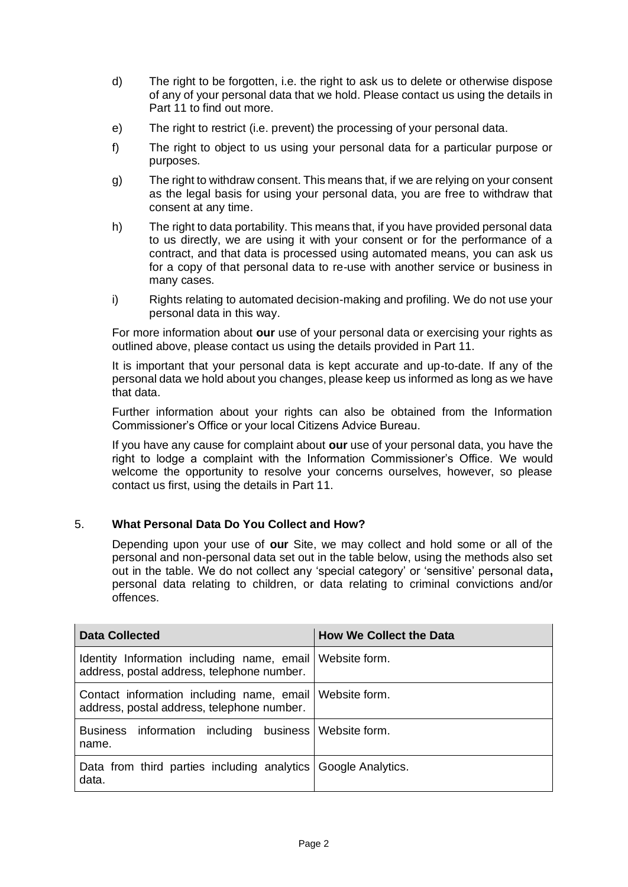- d) The right to be forgotten, i.e. the right to ask us to delete or otherwise dispose of any of your personal data that we hold. Please contact us using the details in Part 11 to find out more.
- e) The right to restrict (i.e. prevent) the processing of your personal data.
- f) The right to object to us using your personal data for a particular purpose or purposes.
- g) The right to withdraw consent. This means that, if we are relying on your consent as the legal basis for using your personal data, you are free to withdraw that consent at any time.
- h) The right to data portability. This means that, if you have provided personal data to us directly, we are using it with your consent or for the performance of a contract, and that data is processed using automated means, you can ask us for a copy of that personal data to re-use with another service or business in many cases.
- i) Rights relating to automated decision-making and profiling. We do not use your personal data in this way.

For more information about **our** use of your personal data or exercising your rights as outlined above, please contact us using the details provided in Part 11.

It is important that your personal data is kept accurate and up-to-date. If any of the personal data we hold about you changes, please keep us informed as long as we have that data.

Further information about your rights can also be obtained from the Information Commissioner's Office or your local Citizens Advice Bureau.

If you have any cause for complaint about **our** use of your personal data, you have the right to lodge a complaint with the Information Commissioner's Office. We would welcome the opportunity to resolve your concerns ourselves, however, so please contact us first, using the details in Part 11.

# 5. **What Personal Data Do You Collect and How?**

Depending upon your use of **our** Site, we may collect and hold some or all of the personal and non-personal data set out in the table below, using the methods also set out in the table. We do not collect any 'special category' or 'sensitive' personal data**,**  personal data relating to children, or data relating to criminal convictions and/or offences.

| <b>Data Collected</b>                                                                                   | <b>How We Collect the Data</b> |
|---------------------------------------------------------------------------------------------------------|--------------------------------|
| Identity Information including name, email Website form.<br>address, postal address, telephone number.  |                                |
| Contact information including name, email   Website form.<br>address, postal address, telephone number. |                                |
| Business information including business Website form.<br>name.                                          |                                |
| Data from third parties including analytics Google Analytics.<br>data.                                  |                                |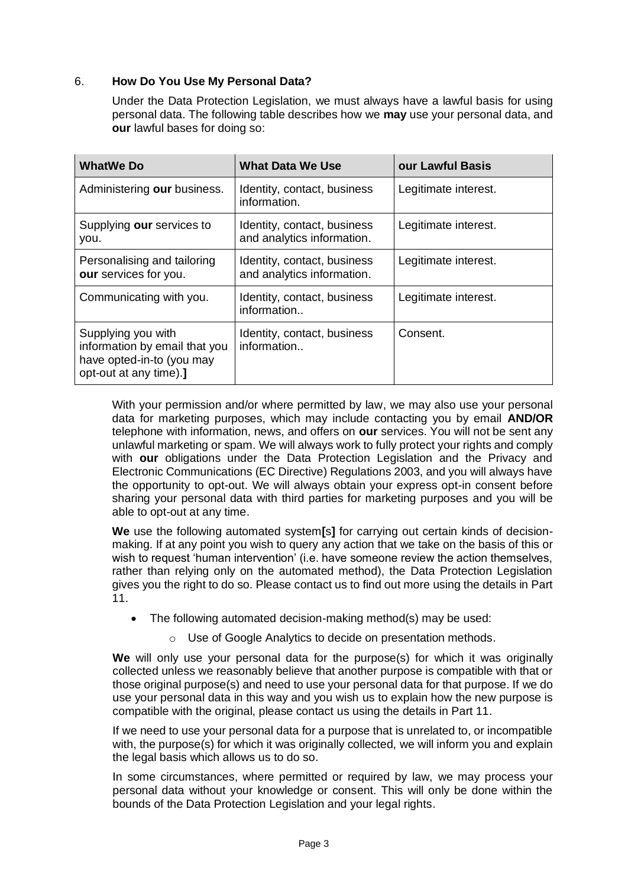# 6. **How Do You Use My Personal Data?**

Under the Data Protection Legislation, we must always have a lawful basis for using personal data. The following table describes how we **may** use your personal data, and **our** lawful bases for doing so:

| <b>WhatWe Do</b>                                                                                           | <b>What Data We Use</b>                                   | our Lawful Basis     |
|------------------------------------------------------------------------------------------------------------|-----------------------------------------------------------|----------------------|
| Administering our business.                                                                                | Identity, contact, business<br>information.               | Legitimate interest. |
| Supplying our services to<br>you.                                                                          | Identity, contact, business<br>and analytics information. | Legitimate interest. |
| Personalising and tailoring<br>our services for you.                                                       | Identity, contact, business<br>and analytics information. | Legitimate interest. |
| Communicating with you.                                                                                    | Identity, contact, business<br>information                | Legitimate interest. |
| Supplying you with<br>information by email that you<br>have opted-in-to (you may<br>opt-out at any time).] | Identity, contact, business<br>information                | Consent.             |

With your permission and/or where permitted by law, we may also use your personal data for marketing purposes, which may include contacting you by email **AND/OR**  telephone with information, news, and offers on **our** services. You will not be sent any unlawful marketing or spam. We will always work to fully protect your rights and comply with **our** obligations under the Data Protection Legislation and the Privacy and Electronic Communications (EC Directive) Regulations 2003, and you will always have the opportunity to opt-out. We will always obtain your express opt-in consent before sharing your personal data with third parties for marketing purposes and you will be able to opt-out at any time.

**We** use the following automated system**[**s**]** for carrying out certain kinds of decisionmaking. If at any point you wish to query any action that we take on the basis of this or wish to request 'human intervention' (i.e. have someone review the action themselves, rather than relying only on the automated method), the Data Protection Legislation gives you the right to do so. Please contact us to find out more using the details in Part 11.

- The following automated decision-making method(s) may be used:
	- o Use of Google Analytics to decide on presentation methods.

**We** will only use your personal data for the purpose(s) for which it was originally collected unless we reasonably believe that another purpose is compatible with that or those original purpose(s) and need to use your personal data for that purpose. If we do use your personal data in this way and you wish us to explain how the new purpose is compatible with the original, please contact us using the details in Part 11.

If we need to use your personal data for a purpose that is unrelated to, or incompatible with, the purpose(s) for which it was originally collected, we will inform you and explain the legal basis which allows us to do so.

In some circumstances, where permitted or required by law, we may process your personal data without your knowledge or consent. This will only be done within the bounds of the Data Protection Legislation and your legal rights.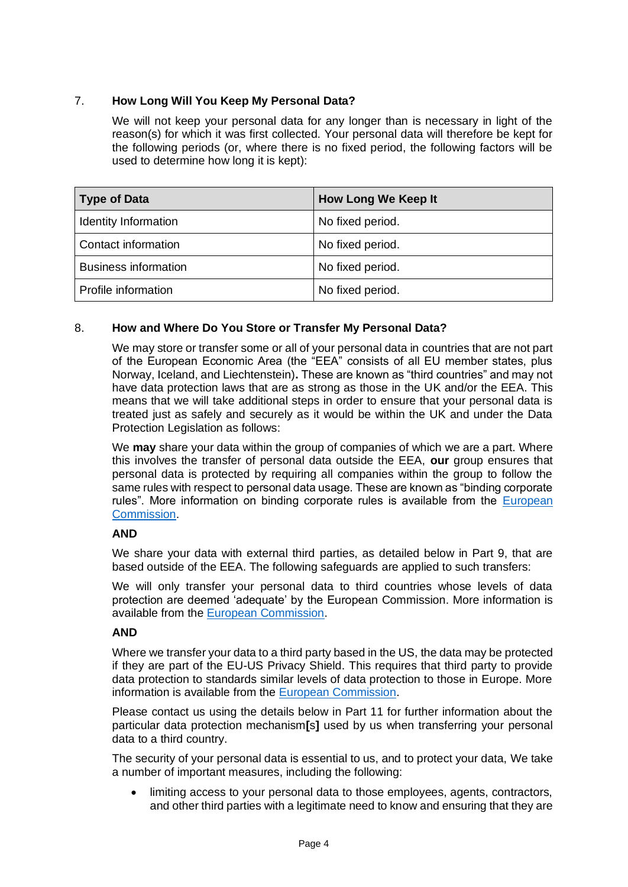# 7. **How Long Will You Keep My Personal Data?**

We will not keep your personal data for any longer than is necessary in light of the reason(s) for which it was first collected. Your personal data will therefore be kept for the following periods (or, where there is no fixed period, the following factors will be used to determine how long it is kept):

| <b>Type of Data</b>         | <b>How Long We Keep It</b> |
|-----------------------------|----------------------------|
| Identity Information        | No fixed period.           |
| Contact information         | No fixed period.           |
| <b>Business information</b> | No fixed period.           |
| Profile information         | No fixed period.           |

# 8. **How and Where Do You Store or Transfer My Personal Data?**

We may store or transfer some or all of your personal data in countries that are not part of the European Economic Area (the "EEA" consists of all EU member states, plus Norway, Iceland, and Liechtenstein)**.** These are known as "third countries" and may not have data protection laws that are as strong as those in the UK and/or the EEA. This means that we will take additional steps in order to ensure that your personal data is treated just as safely and securely as it would be within the UK and under the Data Protection Legislation as follows:

We **may** share your data within the group of companies of which we are a part. Where this involves the transfer of personal data outside the EEA, **our** group ensures that personal data is protected by requiring all companies within the group to follow the same rules with respect to personal data usage. These are known as "binding corporate rules". More information on binding corporate rules is available from the [European](https://ec.europa.eu/info/law/law-topic/data-protection/data-transfers-outside-eu/binding-corporate-rules_en)  [Commission.](https://ec.europa.eu/info/law/law-topic/data-protection/data-transfers-outside-eu/binding-corporate-rules_en)

# **AND**

We share your data with external third parties, as detailed below in Part 9, that are based outside of the EEA. The following safeguards are applied to such transfers:

We will only transfer your personal data to third countries whose levels of data protection are deemed 'adequate' by the European Commission. More information is available from the [European Commission.](https://ec.europa.eu/info/law/law-topic/data-protection/data-transfers-outside-eu/adequacy-protection-personal-data-non-eu-countries_en)

# **AND**

Where we transfer your data to a third party based in the US, the data may be protected if they are part of the EU-US Privacy Shield. This requires that third party to provide data protection to standards similar levels of data protection to those in Europe. More information is available from the [European Commission.](https://ec.europa.eu/info/law/law-topic/data-protection/data-transfers-outside-eu/eu-us-privacy-shield_en)

Please contact us using the details below in Part 11 for further information about the particular data protection mechanism**[**s**]** used by us when transferring your personal data to a third country.

The security of your personal data is essential to us, and to protect your data, We take a number of important measures, including the following:

limiting access to your personal data to those employees, agents, contractors, and other third parties with a legitimate need to know and ensuring that they are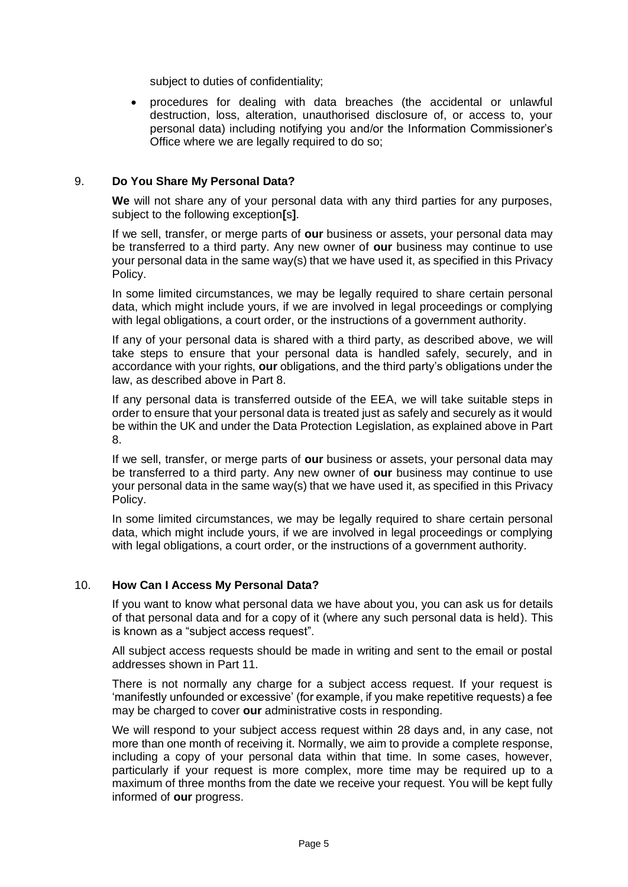subject to duties of confidentiality;

• procedures for dealing with data breaches (the accidental or unlawful destruction, loss, alteration, unauthorised disclosure of, or access to, your personal data) including notifying you and/or the Information Commissioner's Office where we are legally required to do so;

### 9. **Do You Share My Personal Data?**

**We** will not share any of your personal data with any third parties for any purposes, subject to the following exception**[**s**]**.

If we sell, transfer, or merge parts of **our** business or assets, your personal data may be transferred to a third party. Any new owner of **our** business may continue to use your personal data in the same way(s) that we have used it, as specified in this Privacy Policy.

In some limited circumstances, we may be legally required to share certain personal data, which might include yours, if we are involved in legal proceedings or complying with legal obligations, a court order, or the instructions of a government authority.

If any of your personal data is shared with a third party, as described above, we will take steps to ensure that your personal data is handled safely, securely, and in accordance with your rights, **our** obligations, and the third party's obligations under the law, as described above in Part 8.

If any personal data is transferred outside of the EEA, we will take suitable steps in order to ensure that your personal data is treated just as safely and securely as it would be within the UK and under the Data Protection Legislation, as explained above in Part 8.

If we sell, transfer, or merge parts of **our** business or assets, your personal data may be transferred to a third party. Any new owner of **our** business may continue to use your personal data in the same way(s) that we have used it, as specified in this Privacy Policy.

In some limited circumstances, we may be legally required to share certain personal data, which might include yours, if we are involved in legal proceedings or complying with legal obligations, a court order, or the instructions of a government authority.

#### 10. **How Can I Access My Personal Data?**

If you want to know what personal data we have about you, you can ask us for details of that personal data and for a copy of it (where any such personal data is held). This is known as a "subject access request".

All subject access requests should be made in writing and sent to the email or postal addresses shown in Part 11.

There is not normally any charge for a subject access request. If your request is 'manifestly unfounded or excessive' (for example, if you make repetitive requests) a fee may be charged to cover **our** administrative costs in responding.

We will respond to your subject access request within 28 days and, in any case, not more than one month of receiving it. Normally, we aim to provide a complete response, including a copy of your personal data within that time. In some cases, however, particularly if your request is more complex, more time may be required up to a maximum of three months from the date we receive your request. You will be kept fully informed of **our** progress.